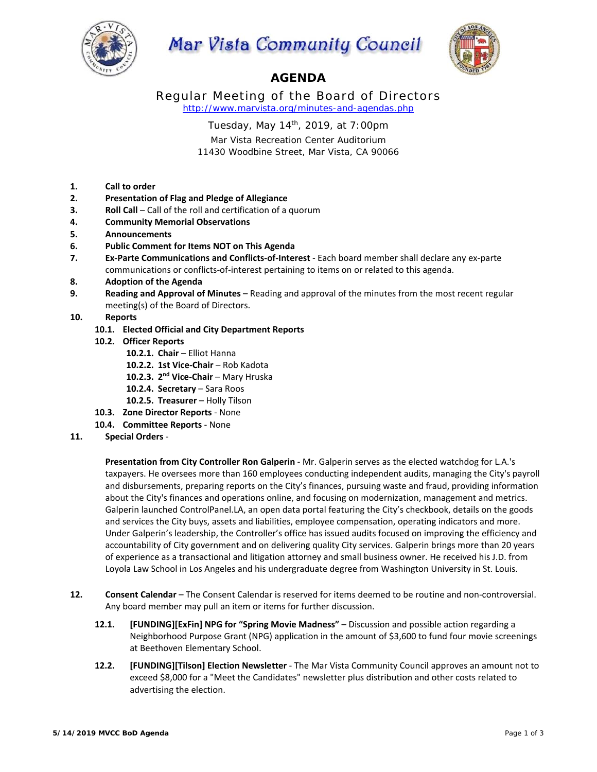

## **Mar Vista Community Council**



## **AGENDA**

Regular Meeting of the Board of Directors *http://www.marvista.org/minutes-and-agendas.php* 

Tuesday, May 14th, 2019, at 7:00pm

Mar Vista Recreation Center Auditorium 11430 Woodbine Street, Mar Vista, CA 90066

- **1. Call to order**
- **2. Presentation of Flag and Pledge of Allegiance**
- **3. Roll Call** Call of the roll and certification of a quorum
- **4. Community Memorial Observations**
- **5. Announcements**
- **6. Public Comment for Items NOT on This Agenda**
- **7. Ex‐Parte Communications and Conflicts‐of‐Interest** ‐ Each board member shall declare any ex‐parte communications or conflicts‐of‐interest pertaining to items on or related to this agenda.
- **8. Adoption of the Agenda**
- **9. Reading and Approval of Minutes** Reading and approval of the minutes from the most recent regular meeting(s) of the Board of Directors.
- **10. Reports** 
	- **10.1. Elected Official and City Department Reports**
	- **10.2. Officer Reports** 
		- **10.2.1. Chair**  Elliot Hanna
		- 10.2.2. 1st Vice-Chair Rob Kadota
		- 10.2.3. 2<sup>nd</sup> Vice-Chair Mary Hruska
		- 10.2.4. **Secretary** Sara Roos
		- 10.2.5. Treasurer Holly Tilson
	- **10.3. Zone Director Reports** ‐ None
	- **10.4. Committee Reports** ‐ None
- **11. Special Orders** ‐

**Presentation from City Controller Ron Galperin** ‐ Mr. Galperin serves as the elected watchdog for L.A.'s taxpayers. He oversees more than 160 employees conducting independent audits, managing the City's payroll and disbursements, preparing reports on the City's finances, pursuing waste and fraud, providing information about the City's finances and operations online, and focusing on modernization, management and metrics. Galperin launched ControlPanel.LA, an open data portal featuring the City's checkbook, details on the goods and services the City buys, assets and liabilities, employee compensation, operating indicators and more. Under Galperin's leadership, the Controller's office has issued audits focused on improving the efficiency and accountability of City government and on delivering quality City services. Galperin brings more than 20 years of experience as a transactional and litigation attorney and small business owner. He received his J.D. from Loyola Law School in Los Angeles and his undergraduate degree from Washington University in St. Louis.

- 12. **Consent Calendar** The Consent Calendar is reserved for items deemed to be routine and non-controversial. Any board member may pull an item or items for further discussion.
	- **12.1. [FUNDING][ExFin] NPG for "Spring Movie Madness"**  Discussion and possible action regarding a Neighborhood Purpose Grant (NPG) application in the amount of \$3,600 to fund four movie screenings at Beethoven Elementary School.
	- **12.2. [FUNDING][Tilson] Election Newsletter** ‐ The Mar Vista Community Council approves an amount not to exceed \$8,000 for a "Meet the Candidates" newsletter plus distribution and other costs related to advertising the election.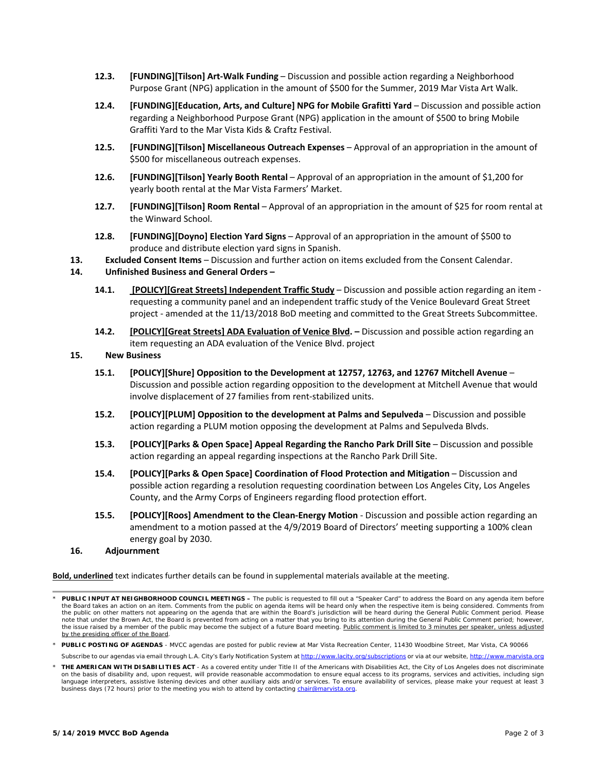- **12.3. [FUNDING][Tilson] Art‐Walk Funding**  Discussion and possible action regarding a Neighborhood Purpose Grant (NPG) application in the amount of \$500 for the Summer, 2019 Mar Vista Art Walk.
- **12.4. [FUNDING][Education, Arts, and Culture] NPG for Mobile Grafitti Yard**  Discussion and possible action regarding a Neighborhood Purpose Grant (NPG) application in the amount of \$500 to bring Mobile Graffiti Yard to the Mar Vista Kids & Craftz Festival.
- **12.5. [FUNDING][Tilson] Miscellaneous Outreach Expenses** Approval of an appropriation in the amount of \$500 for miscellaneous outreach expenses.
- **12.6. [FUNDING][Tilson] Yearly Booth Rental**  Approval of an appropriation in the amount of \$1,200 for yearly booth rental at the Mar Vista Farmers' Market.
- **12.7. [FUNDING][Tilson] Room Rental**  Approval of an appropriation in the amount of \$25 for room rental at the Winward School.
- **12.8. [FUNDING][Doyno] Election Yard Signs**  Approval of an appropriation in the amount of \$500 to produce and distribute election yard signs in Spanish.
- **13. Excluded Consent Items**  Discussion and further action on items excluded from the Consent Calendar.

## **14. Unfinished Business and General Orders –**

- 14.1. **[POLICY][Great Streets] Independent Traffic Study** Discussion and possible action regarding an item requesting a community panel and an independent traffic study of the Venice Boulevard Great Street project ‐ amended at the 11/13/2018 BoD meeting and committed to the Great Streets Subcommittee.
- **14.2. [POLICY][Great Streets] ADA Evaluation of Venice Blvd.** Discussion and possible action regarding an item requesting an ADA evaluation of the Venice Blvd. project

## **15. New Business**

- **15.1. [POLICY][Shure] Opposition to the Development at 12757, 12763, and 12767 Mitchell Avenue**  Discussion and possible action regarding opposition to the development at Mitchell Avenue that would involve displacement of 27 families from rent‐stabilized units.
- **15.2. [POLICY][PLUM] Opposition to the development at Palms and Sepulveda**  Discussion and possible action regarding a PLUM motion opposing the development at Palms and Sepulveda Blvds.
- **15.3. [POLICY][Parks & Open Space] Appeal Regarding the Rancho Park Drill Site**  Discussion and possible action regarding an appeal regarding inspections at the Rancho Park Drill Site.
- **15.4. [POLICY][Parks & Open Space] Coordination of Flood Protection and Mitigation** Discussion and possible action regarding a resolution requesting coordination between Los Angeles City, Los Angeles County, and the Army Corps of Engineers regarding flood protection effort.
- **15.5. [POLICY][Roos] Amendment to the Clean‐Energy Motion** ‐ Discussion and possible action regarding an amendment to a motion passed at the 4/9/2019 Board of Directors' meeting supporting a 100% clean energy goal by 2030.
- **16. Adjournment**

**Bold, underlined** text indicates further details can be found in supplemental materials available at the meeting.

*Subscribe to our agendas via email through L.A. City's Early Notification System at http://www.lacity.org/subscriptions or via at our website, http://www.marvista.org \* THE AMERICAN WITH DISABILITIES ACT - As a covered entity under Title II of the Americans with Disabilities Act, the City of Los Angeles does not discriminate* 

*on the basis of disability and, upon request, will provide reasonable accommodation to ensure equal access to its programs, services and activities, including sign language interpreters, assistive listening devices and other auxiliary aids and/or services. To ensure availability of services, please make your request at least 3 business days (72 hours) prior to the meeting you wish to attend by contacting chair@marvista.org.*

*<sup>\*</sup> PUBLIC INPUT AT NEIGHBORHOOD COUNCIL MEETINGS – The public is requested to fill out a "Speaker Card" to address the Board on any agenda item before*  the Board takes an action on an item. Comments from the public on agenda items will be heard only when the respective item is being considered. Comments from<br>the public on other matters not appearing on the agenda that are *note that under the Brown Act, the Board is prevented from acting on a matter that you bring to its attention during the General Public Comment period; however,*  the issue raised by a member of the public may become the subject of a future Board meeting. Public comment is limited to 3 minutes per speaker, unless adjusted *by the presiding officer of the Board.* 

*<sup>\*</sup> PUBLIC POSTING OF AGENDAS - MVCC agendas are posted for public review at Mar Vista Recreation Center, 11430 Woodbine Street, Mar Vista, CA 90066*